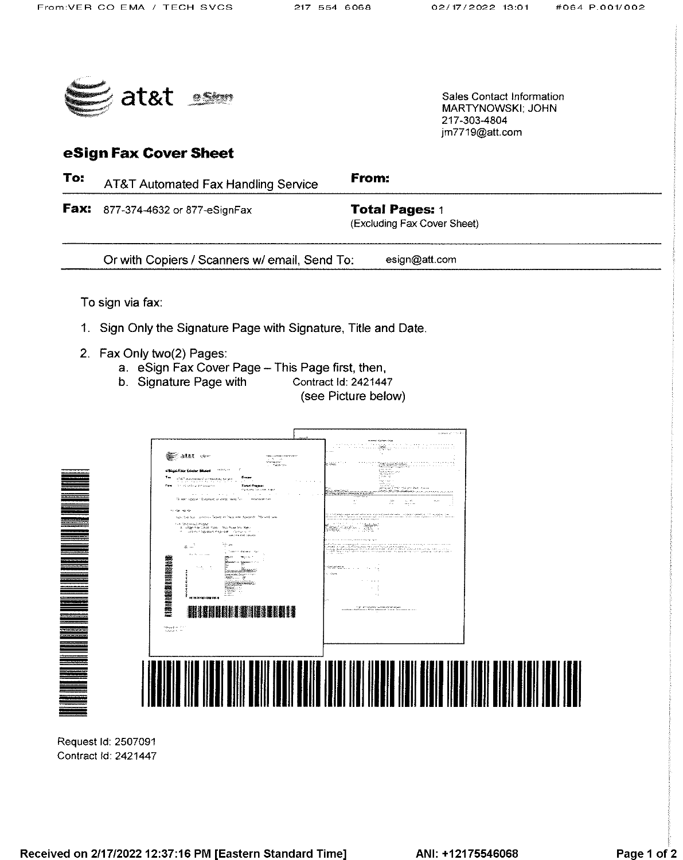217-303-4804 im7719@att.com

Sales Contact Information **MARTYNOWSKI: JOHN** 



# eSign Fax Cover Sheet

To: From: AT&T Automated Fax Handling Service Fax: 877-374-4632 or 877-eSignFax **Total Pages: 1** (Excluding Fax Cover Sheet) Or with Copiers / Scanners w/ email, Send To: esign@att.com To sign via fax: 1. Sign Only the Signature Page with Signature, Title and Date. 2. Fax Only two(2) Pages: a. eSign Fax Cover Page - This Page first, then, b. Signature Page with Contract Id: 2421447 (see Picture below) page the recover See atat son har anns<br>Aleisimean<br>Tearr air **THE REAL PROPERTY AND REAL** ar deed and **" " " " " " " " " " " " "** 鹽 **THE BULLER IN THE UP**  $\label{eq:optimal} \begin{array}{ll} \log \log \log m & \delta \leq 1\\ \log \log \log m & \delta \leq 1. \end{array}$ 

Request Id: 2507091 Contract Id: 2421447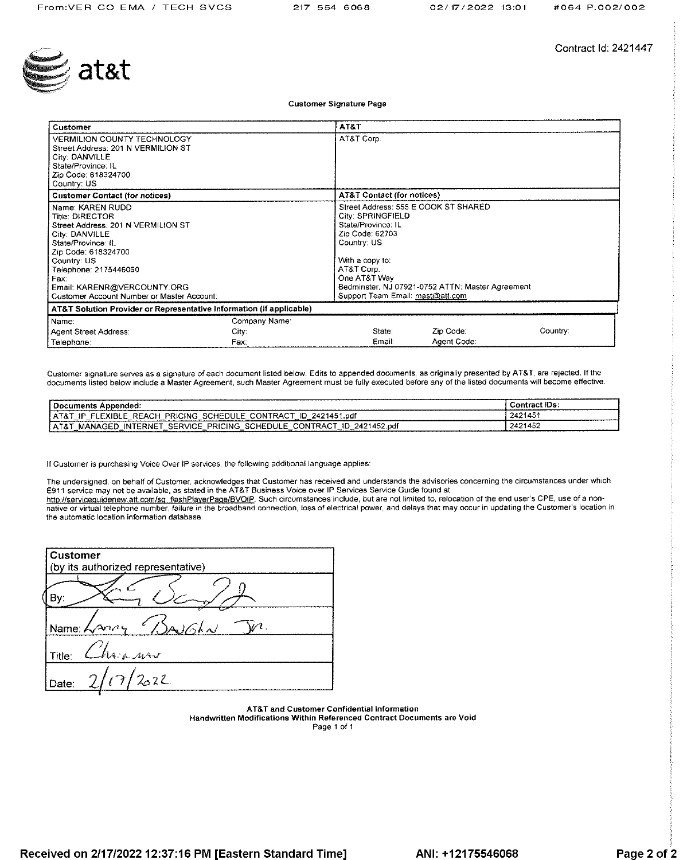

Contract Id: 2421447

**Customer Signature Page** 

| Customer                                                                                                                                                                                                                                                                     |                                | AT&T                                                                                                                                                                                                   |                                                  |          |
|------------------------------------------------------------------------------------------------------------------------------------------------------------------------------------------------------------------------------------------------------------------------------|--------------------------------|--------------------------------------------------------------------------------------------------------------------------------------------------------------------------------------------------------|--------------------------------------------------|----------|
| <b>VERMILION COUNTY TECHNOLOGY</b><br>Street Address: 201 N VERMILION ST<br>City: DANVILLE<br>State/Province: IL<br>Zip Code: 618324700<br>Country: US                                                                                                                       |                                | AT&T Corp.                                                                                                                                                                                             |                                                  |          |
| <b>Customer Contact (for notices)</b>                                                                                                                                                                                                                                        |                                | <b>AT&amp;T Contact (for notices)</b>                                                                                                                                                                  |                                                  |          |
| Name: KAREN RUDD<br><b>Title: DIRECTOR</b><br>Street Address: 201 N VERMILION ST<br>City: DANVILLE<br>State/Province: IL<br>Zip Code: 618324700<br>Country: US<br>Telephone: 2175446060<br>Fax:<br>Email: KARENR@VERCOUNTY.ORG<br>Customer Account Number or Master Account: |                                | Street Address: 555 E COOK ST SHARED<br>City: SPRINGFIELD<br>State/Province: IL<br>Zip Code: 62703<br>Country: US<br>With a copy to:<br>AT&T Corp.<br>One AT&T Way<br>Support Team Email: mast@att.com | Bedminster, NJ 07921-0752 ATTN: Master Agreement |          |
| AT&T Solution Provider or Representative Information (if applicable)                                                                                                                                                                                                         |                                |                                                                                                                                                                                                        |                                                  |          |
| Name:<br>Agent Street Address:<br>Telephone:                                                                                                                                                                                                                                 | Company Name:<br>City:<br>Fax: | State:<br>Email:                                                                                                                                                                                       | Zip Code:<br>Agent Code:                         | Country: |

Customer signature serves as a signature of each document listed below. Edits to appended documents, as originally presented by AT&T, are rejected. If the documents listed below include a Master Agreement, such Master Agreement must be fully executed before any of the listed documents will become effective.

| -------------------<br>cuments                                                                                              | łВ                 |
|-----------------------------------------------------------------------------------------------------------------------------|--------------------|
| .ndf<br><b>CING</b><br>יפם.<br>.<br>- 175                                                                                   | AC<br>.<br>--<br>. |
| .ndf<br>PRICING<br>$\sim$<br>ъe<br>.RNE<br>ור ום<br>١N<br>п.<br>۰Δ.<br>NA<br>. т. в.<br>.<br>--<br>$\overline{\phantom{a}}$ | 124AET<br>.        |

If Customer is purchasing Voice Over IP services, the following additional language applies:

The undersigned, on behalf of Customer, acknowledges that Customer has received and understands the advisories concerning the circumstances under which E911 service may not be available, as stated in the AT&T Business Voice over IP Services Service Guide found at

http://serviceguidenew.att.com/sg\_flashPlayerPage/BVOIP. Such circumstances include, but are not limited to, relocation of the end user's CPE, use of a nonnative or virtual telephone number, failure in the broadband connection, loss of electrical power, and delays that may occur in updating the Customer's location in the automatic location information database.

| <b>Customer</b><br>(by its authorized representative) |
|-------------------------------------------------------|
|                                                       |
| A/dA<br>Name: $\sqrt{\lambda}$                        |
| Thair now<br>Title:                                   |
| (7/2022)<br>Date:                                     |

AT&T and Customer Confidential Information Handwritten Modifications Within Referenced Contract Documents are Void

Page 1 of 1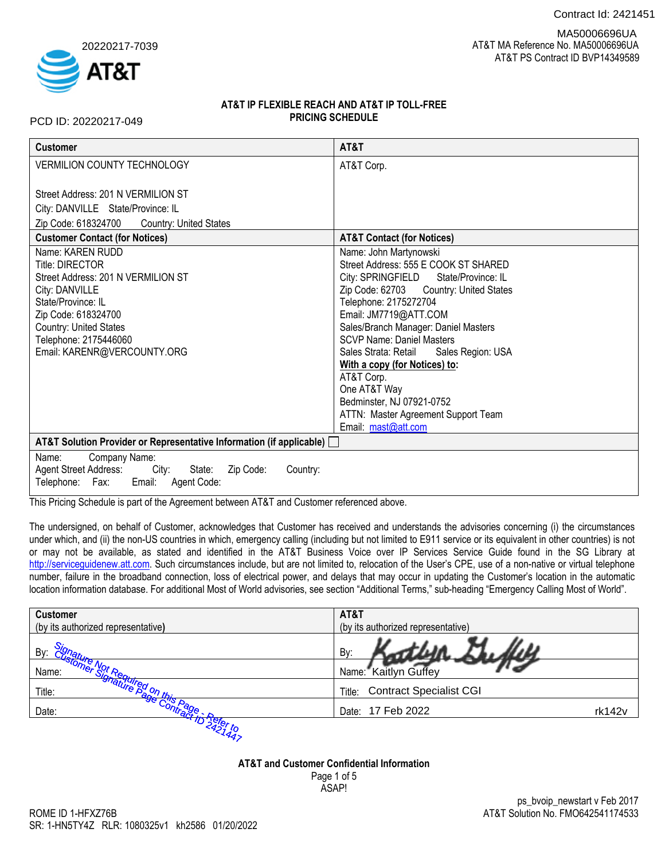Contract Id: 2421451



 AT&T MA Reference No. MA50006696UA AT&T PS Contract ID BVP14349589 MA50006696UA

# **AT&T IP FLEXIBLE REACH AND AT&T IP TOLL-FREE PRICING SCHEDULE**

PCD ID: 20220217-049

| <b>Customer</b>                                                                                                                                                                                                                                                                                                                                                                                        | AT&T                                                                                                                                                                                                                                                                                                                                                                                                                                                                                                    |
|--------------------------------------------------------------------------------------------------------------------------------------------------------------------------------------------------------------------------------------------------------------------------------------------------------------------------------------------------------------------------------------------------------|---------------------------------------------------------------------------------------------------------------------------------------------------------------------------------------------------------------------------------------------------------------------------------------------------------------------------------------------------------------------------------------------------------------------------------------------------------------------------------------------------------|
| VERMILION COUNTY TECHNOLOGY                                                                                                                                                                                                                                                                                                                                                                            | AT&T Corp.                                                                                                                                                                                                                                                                                                                                                                                                                                                                                              |
| Street Address: 201 N VERMILION ST<br>City: DANVILLE State/Province: IL<br>Zip Code: 618324700<br><b>Country: United States</b><br><b>Customer Contact (for Notices)</b><br>Name: KAREN RUDD<br>Title: DIRECTOR<br>Street Address: 201 N VERMILION ST<br>City: DANVILLE<br>State/Province: IL<br>Zip Code: 618324700<br>Country: United States<br>Telephone: 2175446060<br>Email: KARENR@VERCOUNTY.ORG | <b>AT&amp;T Contact (for Notices)</b><br>Name: John Martynowski<br>Street Address: 555 E COOK ST SHARED<br>City: SPRINGFIELD<br>State/Province: IL<br>Zip Code: 62703 Country: United States<br>Telephone: 2175272704<br>Email: JM7719@ATT.COM<br>Sales/Branch Manager: Daniel Masters<br><b>SCVP Name: Daniel Masters</b><br>Sales Strata: Retail Sales Region: USA<br>With a copy (for Notices) to:<br>AT&T Corp.<br>One AT&T Way<br>Bedminster, NJ 07921-0752<br>ATTN: Master Agreement Support Team |
|                                                                                                                                                                                                                                                                                                                                                                                                        | Email: mast@att.com                                                                                                                                                                                                                                                                                                                                                                                                                                                                                     |
| AT&T Solution Provider or Representative Information (if applicable) [                                                                                                                                                                                                                                                                                                                                 |                                                                                                                                                                                                                                                                                                                                                                                                                                                                                                         |
| Company Name:<br>Name:<br><b>Agent Street Address:</b><br>City:<br>State:<br>Zip Code:<br>Country:<br>Telephone: Fax: Email:<br>Agent Code:                                                                                                                                                                                                                                                            |                                                                                                                                                                                                                                                                                                                                                                                                                                                                                                         |

This Pricing Schedule is part of the Agreement between AT&T and Customer referenced above.

The undersigned, on behalf of Customer, acknowledges that Customer has received and understands the advisories concerning (i) the circumstances under which, and (ii) the non-US countries in which, emergency calling (including but not limited to E911 service or its equivalent in other countries) is not or may not be available, as stated and identified in the AT&T Business Voice over IP Services Service Guide found in the SG Library at [http://serviceguidenew.att.com.](http://serviceguidenew.att.com/) Such circumstances include, but are not limited to, relocation of the User's CPE, use of a non-native or virtual telephone number, failure in the broadband connection, loss of electrical power, and delays that may occur in updating the Customer's location in the automatic location information database. For additional Most of World advisories, see section "Additional Terms," sub-heading "Emergency Calling Most of World".

| <b>Customer</b>                         | AT&T                               |
|-----------------------------------------|------------------------------------|
| (by its authorized representative)      | (by its authorized representative) |
| By:                                     | By:                                |
| Name:                                   | Name: Kaitlyn Guffey               |
| equired on<br>Title:<br><b>Page thi</b> | Title: Contract Specialist CGI     |
| Date:                                   | Date: 17 Feb 2022<br>rk142v        |
|                                         |                                    |

# **AT&T and Customer Confidential Information**

Page 1 of 5 ASAP!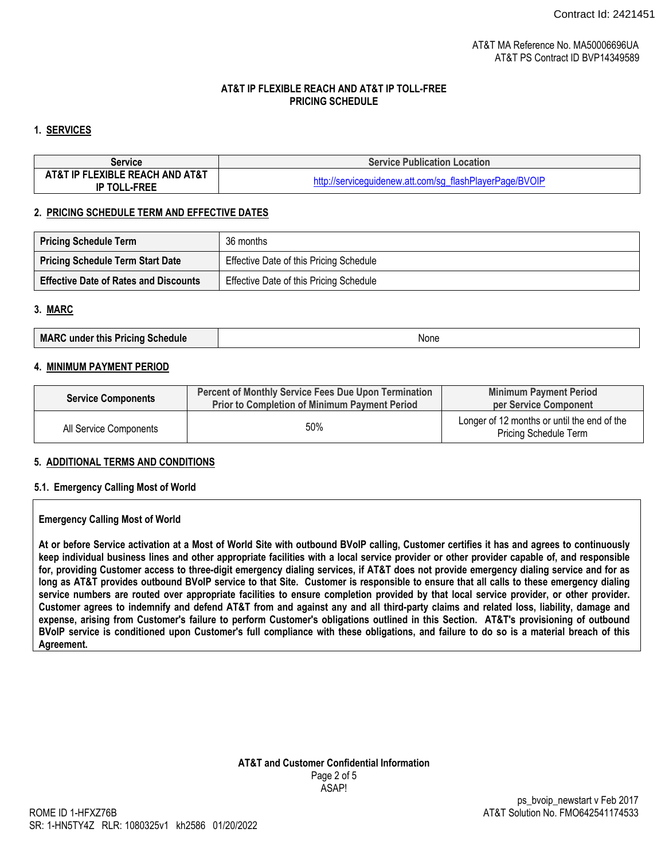### **1. SERVICES**

| <b>Service</b>                                         | <b>Service Publication Location</b>                     |  |  |
|--------------------------------------------------------|---------------------------------------------------------|--|--|
| AT&T IP FLEXIBLE REACH AND AT&T<br><b>IP TOLL-FREE</b> | http://serviceguidenew.att.com/sg_flashPlayerPage/BVOIP |  |  |

### **2. PRICING SCHEDULE TERM AND EFFECTIVE DATES**

| <b>Pricing Schedule Term</b>                 | 36 months                               |
|----------------------------------------------|-----------------------------------------|
| <b>Pricing Schedule Term Start Date</b>      | Effective Date of this Pricing Schedule |
| <b>Effective Date of Rates and Discounts</b> | Effective Date of this Pricing Schedule |

#### **3. MARC**

#### **4. MINIMUM PAYMENT PERIOD**

| <b>Service Components</b> | <b>Percent of Monthly Service Fees Due Upon Termination</b><br><b>Prior to Completion of Minimum Payment Period</b> | <b>Minimum Payment Period</b><br>per Service Component                      |
|---------------------------|---------------------------------------------------------------------------------------------------------------------|-----------------------------------------------------------------------------|
| All Service Components    | 50%                                                                                                                 | Longer of 12 months or until the end of the<br><b>Pricing Schedule Term</b> |

#### **5. ADDITIONAL TERMS AND CONDITIONS**

#### **5.1. Emergency Calling Most of World**

#### **Emergency Calling Most of World**

**At or before Service activation at a Most of World Site with outbound BVoIP calling, Customer certifies it has and agrees to continuously keep individual business lines and other appropriate facilities with a local service provider or other provider capable of, and responsible for, providing Customer access to three-digit emergency dialing services, if AT&T does not provide emergency dialing service and for as long as AT&T provides outbound BVoIP service to that Site. Customer is responsible to ensure that all calls to these emergency dialing service numbers are routed over appropriate facilities to ensure completion provided by that local service provider, or other provider. Customer agrees to indemnify and defend AT&T from and against any and all third-party claims and related loss, liability, damage and expense, arising from Customer's failure to perform Customer's obligations outlined in this Section. AT&T's provisioning of outbound BVoIP service is conditioned upon Customer's full compliance with these obligations, and failure to do so is a material breach of this Agreement.**

### **AT&T and Customer Confidential Information** Page 2 of 5 ASAP!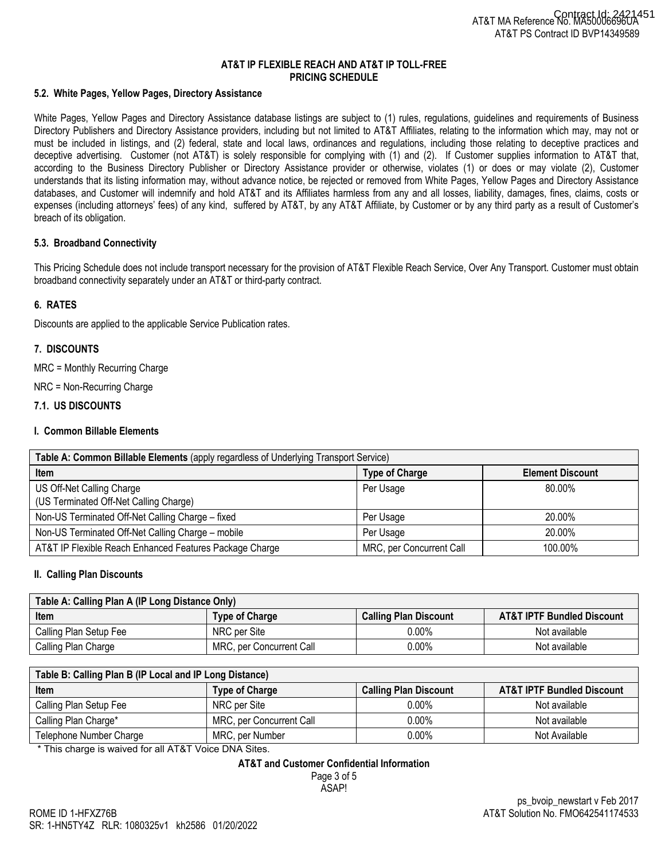### **5.2. White Pages, Yellow Pages, Directory Assistance**

White Pages, Yellow Pages and Directory Assistance database listings are subject to (1) rules, regulations, guidelines and requirements of Business Directory Publishers and Directory Assistance providers, including but not limited to AT&T Affiliates, relating to the information which may, may not or must be included in listings, and (2) federal, state and local laws, ordinances and regulations, including those relating to deceptive practices and deceptive advertising. Customer (not AT&T) is solely responsible for complying with (1) and (2). If Customer supplies information to AT&T that, according to the Business Directory Publisher or Directory Assistance provider or otherwise, violates (1) or does or may violate (2), Customer understands that its listing information may, without advance notice, be rejected or removed from White Pages, Yellow Pages and Directory Assistance databases, and Customer will indemnify and hold AT&T and its Affiliates harmless from any and all losses, liability, damages, fines, claims, costs or expenses (including attorneys' fees) of any kind, suffered by AT&T, by any AT&T Affiliate, by Customer or by any third party as a result of Customer's breach of its obligation.

#### **5.3. Broadband Connectivity**

This Pricing Schedule does not include transport necessary for the provision of AT&T Flexible Reach Service, Over Any Transport. Customer must obtain broadband connectivity separately under an AT&T or third-party contract.

## **6. RATES**

Discounts are applied to the applicable Service Publication rates.

## **7. DISCOUNTS**

MRC = Monthly Recurring Charge

NRC = Non-Recurring Charge

## **7.1. US DISCOUNTS**

### **I. Common Billable Elements**

| Table A: Common Billable Elements (apply regardless of Underlying Transport Service) |                          |                         |  |
|--------------------------------------------------------------------------------------|--------------------------|-------------------------|--|
| <b>Item</b>                                                                          | <b>Type of Charge</b>    | <b>Element Discount</b> |  |
| US Off-Net Calling Charge                                                            | Per Usage                | 80.00%                  |  |
| (US Terminated Off-Net Calling Charge)                                               |                          |                         |  |
| Non-US Terminated Off-Net Calling Charge - fixed                                     | Per Usage                | 20.00%                  |  |
| Non-US Terminated Off-Net Calling Charge - mobile                                    | Per Usage                | 20.00%                  |  |
| AT&T IP Flexible Reach Enhanced Features Package Charge                              | MRC, per Concurrent Call | 100.00%                 |  |

#### **II. Calling Plan Discounts**

| Table A: Calling Plan A (IP Long Distance Only) |                          |                              |                                       |  |
|-------------------------------------------------|--------------------------|------------------------------|---------------------------------------|--|
| <b>Item</b>                                     | <b>Type of Charge</b>    | <b>Calling Plan Discount</b> | <b>AT&amp;T IPTF Bundled Discount</b> |  |
| Calling Plan Setup Fee                          | NRC per Site             | 0.00%                        | Not available                         |  |
| Calling Plan Charge                             | MRC, per Concurrent Call | $0.00\%$                     | Not available                         |  |

| Table B: Calling Plan B (IP Local and IP Long Distance) |                          |                              |                                       |  |
|---------------------------------------------------------|--------------------------|------------------------------|---------------------------------------|--|
| Item                                                    | <b>Type of Charge</b>    | <b>Calling Plan Discount</b> | <b>AT&amp;T IPTF Bundled Discount</b> |  |
| Calling Plan Setup Fee                                  | NRC per Site             | $0.00\%$                     | Not available                         |  |
| Calling Plan Charge*                                    | MRC, per Concurrent Call | $0.00\%$                     | Not available                         |  |
| Telephone Number Charge                                 | MRC, per Number          | $0.00\%$                     | Not Available                         |  |

\* This charge is waived for all AT&T Voice DNA Sites.

#### **AT&T and Customer Confidential Information**

Page 3 of 5 ASAP!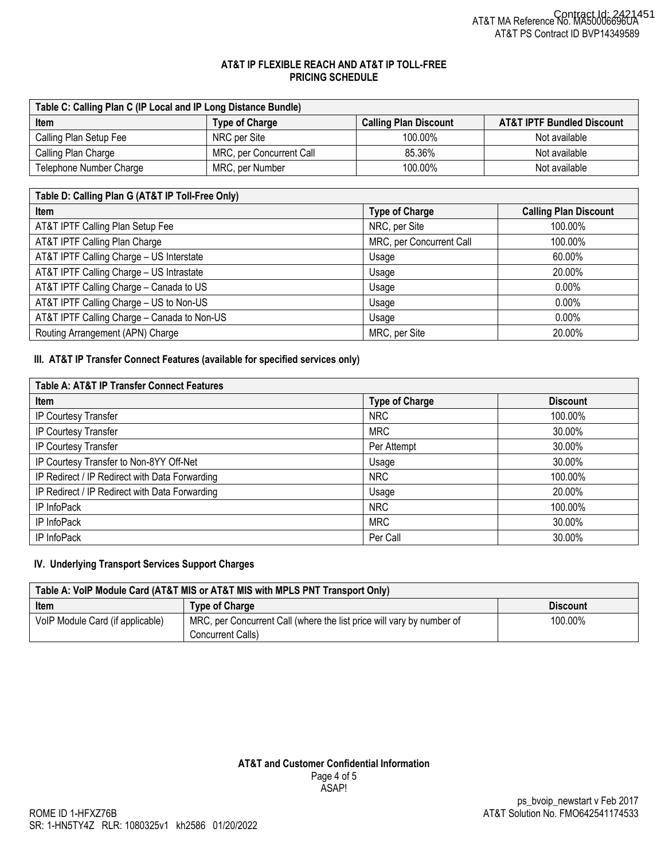| Table C: Calling Plan C (IP Local and IP Long Distance Bundle) |                          |                              |                                       |
|----------------------------------------------------------------|--------------------------|------------------------------|---------------------------------------|
| <b>Item</b>                                                    | <b>Type of Charge</b>    | <b>Calling Plan Discount</b> | <b>AT&amp;T IPTF Bundled Discount</b> |
| Calling Plan Setup Fee                                         | NRC per Site             | 100.00%                      | Not available                         |
| Calling Plan Charge                                            | MRC, per Concurrent Call | 85.36%                       | Not available                         |
| Telephone Number Charge                                        | MRC, per Number          | 100.00%                      | Not available                         |

| Table D: Calling Plan G (AT&T IP Toll-Free Only) |                          |                              |
|--------------------------------------------------|--------------------------|------------------------------|
| <b>Item</b>                                      | <b>Type of Charge</b>    | <b>Calling Plan Discount</b> |
| AT&T IPTF Calling Plan Setup Fee                 | NRC, per Site            | 100.00%                      |
| AT&T IPTF Calling Plan Charge                    | MRC, per Concurrent Call | 100.00%                      |
| AT&T IPTF Calling Charge - US Interstate         | Usage                    | 60.00%                       |
| AT&T IPTF Calling Charge - US Intrastate         | Usage                    | 20.00%                       |
| AT&T IPTF Calling Charge - Canada to US          | Usage                    | $0.00\%$                     |
| AT&T IPTF Calling Charge - US to Non-US          | Usage                    | $0.00\%$                     |
| AT&T IPTF Calling Charge - Canada to Non-US      | Usage                    | $0.00\%$                     |
| Routing Arrangement (APN) Charge                 | MRC, per Site            | 20.00%                       |

## **III. AT&T IP Transfer Connect Features (available for specified services only)**

| Table A: AT&T IP Transfer Connect Features     |                       |                 |
|------------------------------------------------|-----------------------|-----------------|
| Item                                           | <b>Type of Charge</b> | <b>Discount</b> |
| IP Courtesy Transfer                           | <b>NRC</b>            | 100.00%         |
| IP Courtesy Transfer                           | <b>MRC</b>            | 30.00%          |
| IP Courtesy Transfer                           | Per Attempt           | 30.00%          |
| IP Courtesy Transfer to Non-8YY Off-Net        | Usage                 | 30.00%          |
| IP Redirect / IP Redirect with Data Forwarding | <b>NRC</b>            | 100.00%         |
| IP Redirect / IP Redirect with Data Forwarding | Usage                 | 20.00%          |
| IP InfoPack                                    | <b>NRC</b>            | 100.00%         |
| IP InfoPack                                    | <b>MRC</b>            | 30.00%          |
| IP InfoPack                                    | Per Call              | 30.00%          |

# **IV. Underlying Transport Services Support Charges**

| Table A: VoIP Module Card (AT&T MIS or AT&T MIS with MPLS PNT Transport Only) |                                                                       |                 |  |
|-------------------------------------------------------------------------------|-----------------------------------------------------------------------|-----------------|--|
| Item                                                                          | <b>Type of Charge</b>                                                 | <b>Discount</b> |  |
| VoIP Module Card (if applicable)                                              | MRC, per Concurrent Call (where the list price will vary by number of | 100.00%         |  |
|                                                                               | Concurrent Calls)                                                     |                 |  |

# **AT&T and Customer Confidential Information** Page 4 of 5 ASAP!